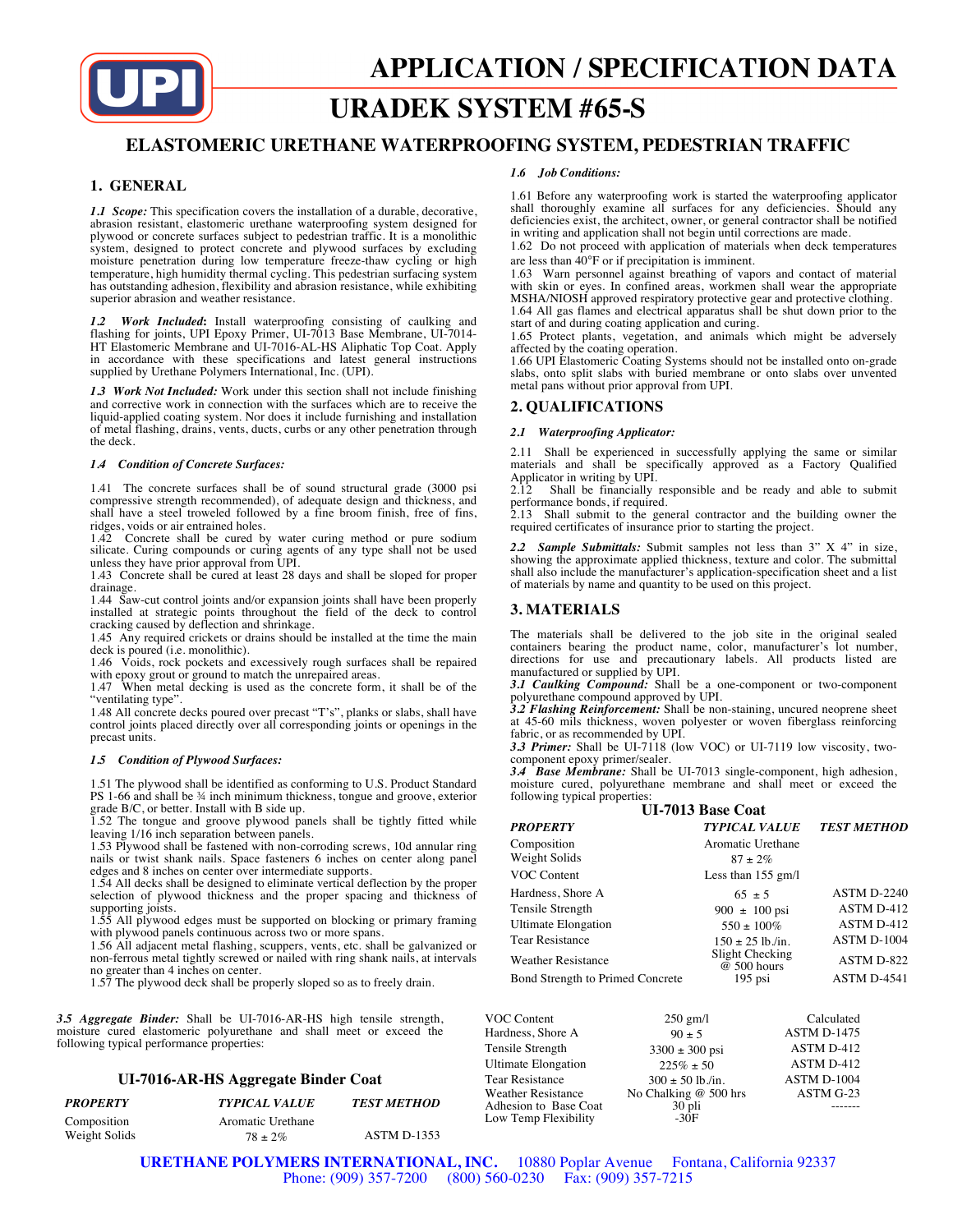

# **URADEK SYSTEM #65-S**

# **ELASTOMERIC URETHANE WATERPROOFING SYSTEM, PEDESTRIAN TRAFFIC**

# **1. GENERAL**

*1.1 Scope:* This specification covers the installation of a durable, decorative, abrasion resistant, elastomeric urethane waterproofing system designed for plywood or concrete surfaces subject to pedestrian traffic. It is a monolithic system, designed to protect concrete and plywood surfaces by excluding moisture penetration during low temperature freeze-thaw cycling or high temperature, high humidity thermal cycling. This pedestrian surfacing system has outstanding adhesion, flexibility and abrasion resistance, while exhibiting superior abrasion and weather resistance.

*1.2 Work Included***:** Install waterproofing consisting of caulking and flashing for joints, UPI Epoxy Primer, UI-7013 Base Membrane, UI-7014- HT Elastomeric Membrane and UI-7016-AL-HS Aliphatic Top Coat. Apply in accordance with these specifications and latest general instructions supplied by Urethane Polymers International, Inc. (UPI).

*1.3 Work Not Included:* Work under this section shall not include finishing and corrective work in connection with the surfaces which are to receive the liquid-applied coating system. Nor does it include furnishing and installation of metal flashing, drains, vents, ducts, curbs or any other penetration through the deck.

#### *1.4 Condition of Concrete Surfaces:*

1.41 The concrete surfaces shall be of sound structural grade (3000 psi compressive strength recommended), of adequate design and thickness, and shall have a steel troweled followed by a fine broom finish, free of fins, ridges, voids or air entrained holes.

1.42 Concrete shall be cured by water curing method or pure sodium silicate. Curing compounds or curing agents of any type shall not be used unless they have prior approval from UPI.

1.43 Concrete shall be cured at least 28 days and shall be sloped for proper drainage.

1.44 Saw-cut control joints and/or expansion joints shall have been properly installed at strategic points throughout the field of the deck to control cracking caused by deflection and shrinkage.

1.45 Any required crickets or drains should be installed at the time the main

deck is poured (i.e. monolithic). 1.46 Voids, rock pockets and excessively rough surfaces shall be repaired

with epoxy grout or ground to match the unrepaired areas. 1.47 When metal decking is used as the concrete form, it shall be of the "ventilating type".

1.48 All concrete decks poured over precast "T's", planks or slabs, shall have control joints placed directly over all corresponding joints or openings in the precast units.

# *1.5 Condition of Plywood Surfaces:*

1.51 The plywood shall be identified as conforming to U.S. Product Standard PS 1-66 and shall be  $\frac{3}{4}$  inch minimum thickness, tongue and groove, exterior

grade B/C, or better. Install with B side up. 1.52 The tongue and groove plywood panels shall be tightly fitted while leaving 1/16 inch separation between panels.

1.53 Plywood shall be fastened with non-corroding screws, 10d annular ring nails or twist shank nails. Space fasteners 6 inches on center along panel edges and 8 inches on center over intermediate supports.

1.54 All decks shall be designed to eliminate vertical deflection by the proper selection of plywood thickness and the proper spacing and thickness of supporting joists.

1.55 All plywood edges must be supported on blocking or primary framing with plywood panels continuous across two or more spans.

1.56 All adjacent metal flashing, scuppers, vents, etc. shall be galvanized or non-ferrous metal tightly screwed or nailed with ring shank nails, at intervals no greater than 4 inches on center.

1.57 The plywood deck shall be properly sloped so as to freely drain.

*3.5 Aggregate Binder:* Shall be UI-7016-AR-HS high tensile strength, moisture cured elastomeric polyurethane and shall meet or exceed the following typical performance properties:

# **UI-7016-AR-HS Aggregate Binder Coat**

| <b>PROPERTY</b> | <b>TYPICAL VALUE</b> | <b>TEST METHOD</b> |
|-----------------|----------------------|--------------------|
| Composition     | Aromatic Urethane    |                    |
| Weight Solids   | $78 \pm 2\%$         | <b>ASTM D-1353</b> |

#### *1.6 Job Conditions:*

1.61 Before any waterproofing work is started the waterproofing applicator shall thoroughly examine all surfaces for any deficiencies. Should any deficiencies exist, the architect, owner, or general contractor shall be notified in writing and application shall not begin until corrections are made.

1.62 Do not proceed with application of materials when deck temperatures are less than 40°F or if precipitation is imminent.

1.63 Warn personnel against breathing of vapors and contact of material with skin or eyes. In confined areas, workmen shall wear the appropriate MSHA/NIOSH approved respiratory protective gear and protective clothing. 1.64 All gas flames and electrical apparatus shall be shut down prior to the

start of and during coating application and curing.

1.65 Protect plants, vegetation, and animals which might be adversely affected by the coating operation.

1.66 UPI Elastomeric Coating Systems should not be installed onto on-grade slabs, onto split slabs with buried membrane or onto slabs over unvented metal pans without prior approval from UPI.

# **2. QUALIFICATIONS**

# *2.1 Waterproofing Applicator:*

2.11 Shall be experienced in successfully applying the same or similar materials and shall be specifically approved as a Factory Qualified Applicator in writing by UPI.<br>2.12 Shall be financially

Shall be financially responsible and be ready and able to submit performance bonds, if required.

2.13 Shall submit to the general contractor and the building owner the required certificates of insurance prior to starting the project.

*2.2 Sample Submittals:* Submit samples not less than 3" X 4" in size, showing the approximate applied thickness, texture and color. The submittal shall also include the manufacturer's application-specification sheet and a list of materials by name and quantity to be used on this project.

# **3. MATERIALS**

The materials shall be delivered to the job site in the original sealed containers bearing the product name, color, manufacturer's lot number, directions for use and precautionary labels. All products listed are manufactured or supplied by UPI.

*3.1 Caulking Compound:* Shall be a one-component or two-component polyurethane compound approved by UPI.

*3.2 Flashing Reinforcement:* Shall be non-staining, uncured neoprene sheet at 45-60 mils thickness, woven polyester or woven fiberglass reinforcing fabric, or as recommended by UPI.

*3.3 Primer:* Shall be UI-7118 (low VOC) or UI-7119 low viscosity, twocomponent epoxy primer/sealer.

*3.4 Base Membrane:* Shall be UI-7013 single-component, high adhesion, moisture cured, polyurethane membrane and shall meet or exceed the

| following typical properties:    |                                  |                    |  |  |  |
|----------------------------------|----------------------------------|--------------------|--|--|--|
| <b>UI-7013 Base Coat</b>         |                                  |                    |  |  |  |
| <b>PROPERTY</b>                  | <b>TYPICAL VALUE</b>             | <b>TEST METHOD</b> |  |  |  |
| Composition                      | Aromatic Urethane                |                    |  |  |  |
| Weight Solids                    | $87 + 2\%$                       |                    |  |  |  |
| VOC Content                      | Less than $155$ gm/l             |                    |  |  |  |
| Hardness, Shore A                | $65 + 5$                         | <b>ASTM D-2240</b> |  |  |  |
| Tensile Strength                 | $900 \pm 100 \,\text{psi}$       | ASTM D-412         |  |  |  |
| <b>Ultimate Elongation</b>       | $550 \pm 100\%$                  | ASTM D-412         |  |  |  |
| <b>Tear Resistance</b>           | $150 \pm 25$ lb./in.             | <b>ASTM D-1004</b> |  |  |  |
| <b>Weather Resistance</b>        | Slight Checking<br>$@$ 500 hours | ASTM D-822         |  |  |  |
| Bond Strength to Primed Concrete | $195$ psi                        | <b>ASTM D-4541</b> |  |  |  |

| VOC Content                | $250$ gm/l            | Calculated         |
|----------------------------|-----------------------|--------------------|
| Hardness, Shore A          | $90 \pm 5$            | <b>ASTM D-1475</b> |
| Tensile Strength           | $3300 \pm 300$ psi    | ASTM D-412         |
| <b>Ultimate Elongation</b> | $225\% \pm 50$        | ASTM D-412         |
| Tear Resistance            | $300 \pm 50$ lb./in.  | ASTM D-1004        |
| <b>Weather Resistance</b>  | No Chalking @ 500 hrs | ASTM G-23          |
| Adhesion to Base Coat      | 30 pli                |                    |
| Low Temp Flexibility       | $-30F$                |                    |

**URETHANE POLYMERS INTERNATIONAL, INC.** 10880 Poplar Avenue Fontana, California 92337 Phone: (909) 357-7200 (800) 560-0230 Fax: (909) 357-7215